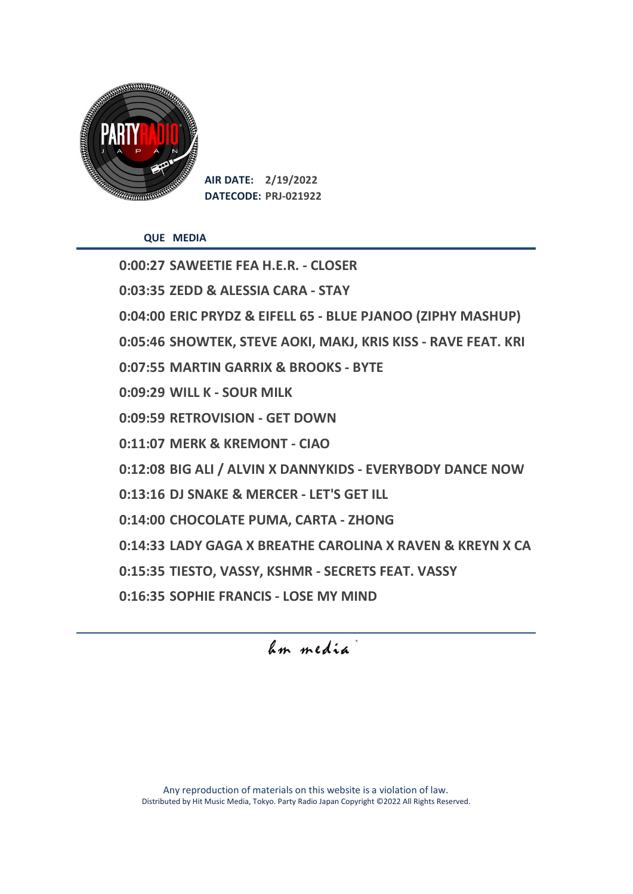

**QUE MEDIA**

**0:00:27 SAWEETIE FEA H.E.R. - CLOSER 0:03:35 ZEDD & ALESSIA CARA - STAY 0:04:00 ERIC PRYDZ & EIFELL 65 - BLUE PJANOO (ZIPHY MASHUP) 0:05:46 SHOWTEK, STEVE AOKI, MAKJ, KRIS KISS - RAVE FEAT. KRI 0:07:55 MARTIN GARRIX & BROOKS - BYTE 0:09:29 WILL K - SOUR MILK 0:09:59 RETROVISION - GET DOWN 0:11:07 MERK & KREMONT - CIAO 0:12:08 BIG ALI / ALVIN X DANNYKIDS - EVERYBODY DANCE NOW 0:13:16 DJ SNAKE & MERCER - LET'S GET ILL 0:14:00 CHOCOLATE PUMA, CARTA - ZHONG 0:14:33 LADY GAGA X BREATHE CAROLINA X RAVEN & KREYN X CA 0:15:35 TIESTO, VASSY, KSHMR - SECRETS FEAT. VASSY 0:16:35 SOPHIE FRANCIS - LOSE MY MIND**

hm media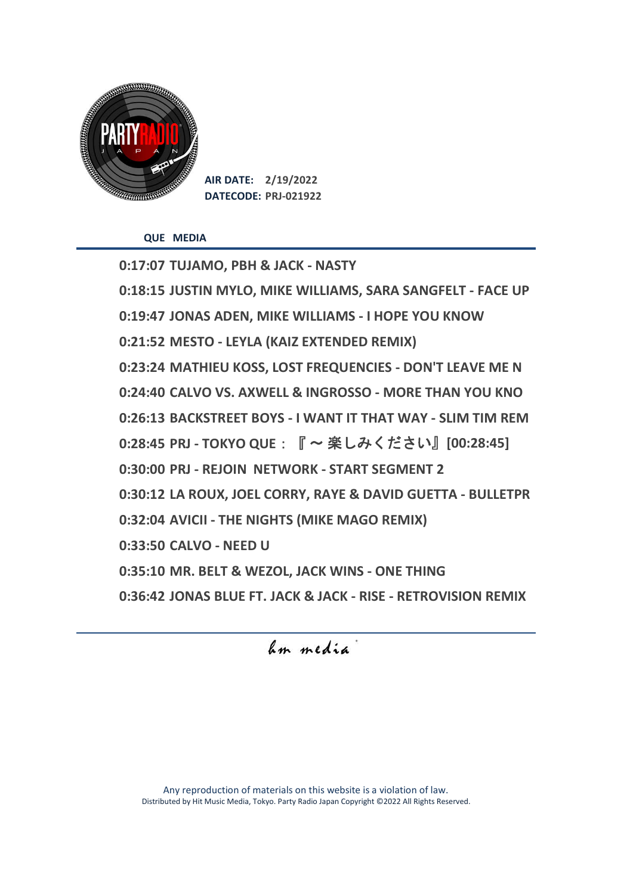

**QUE MEDIA**

**0:17:07 TUJAMO, PBH & JACK - NASTY 0:18:15 JUSTIN MYLO, MIKE WILLIAMS, SARA SANGFELT - FACE UP 0:19:47 JONAS ADEN, MIKE WILLIAMS - I HOPE YOU KNOW 0:21:52 MESTO - LEYLA (KAIZ EXTENDED REMIX) 0:23:24 MATHIEU KOSS, LOST FREQUENCIES - DON'T LEAVE ME N 0:24:40 CALVO VS. AXWELL & INGROSSO - MORE THAN YOU KNO 0:26:13 BACKSTREET BOYS - I WANT IT THAT WAY - SLIM TIM REM 0:28:45 PRJ - TOKYO QUE**:『 〜 楽しみください』**[00:28:45] 0:30:00 PRJ - REJOIN NETWORK - START SEGMENT 2 0:30:12 LA ROUX, JOEL CORRY, RAYE & DAVID GUETTA - BULLETPR 0:32:04 AVICII - THE NIGHTS (MIKE MAGO REMIX) 0:33:50 CALVO - NEED U 0:35:10 MR. BELT & WEZOL, JACK WINS - ONE THING 0:36:42 JONAS BLUE FT. JACK & JACK - RISE - RETROVISION REMIX**

hum media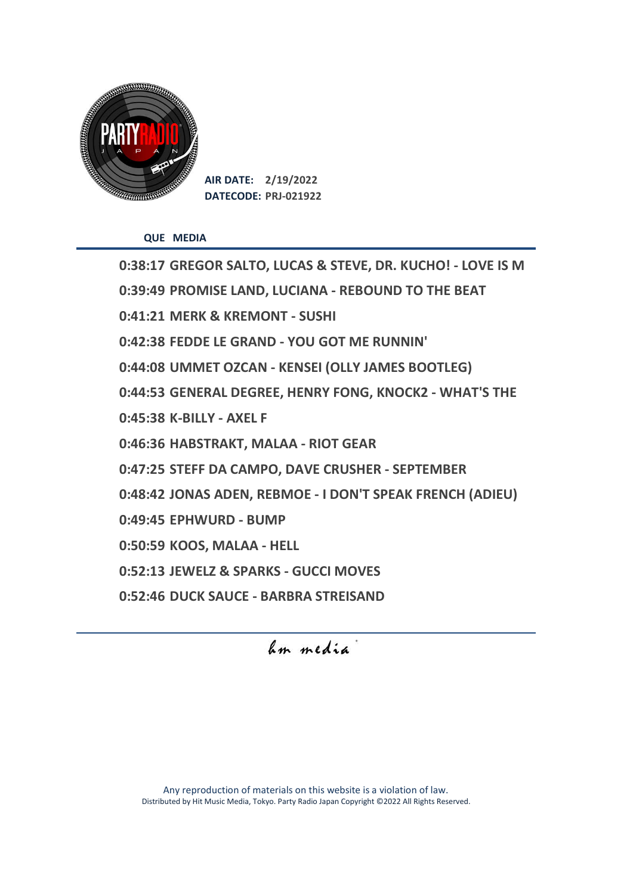

**QUE MEDIA**

**0:38:17 GREGOR SALTO, LUCAS & STEVE, DR. KUCHO! - LOVE IS M 0:39:49 PROMISE LAND, LUCIANA - REBOUND TO THE BEAT 0:41:21 MERK & KREMONT - SUSHI 0:42:38 FEDDE LE GRAND - YOU GOT ME RUNNIN' 0:44:08 UMMET OZCAN - KENSEI (OLLY JAMES BOOTLEG) 0:44:53 GENERAL DEGREE, HENRY FONG, KNOCK2 - WHAT'S THE 0:45:38 K-BILLY - AXEL F 0:46:36 HABSTRAKT, MALAA - RIOT GEAR 0:47:25 STEFF DA CAMPO, DAVE CRUSHER - SEPTEMBER 0:48:42 JONAS ADEN, REBMOE - I DON'T SPEAK FRENCH (ADIEU) 0:49:45 EPHWURD - BUMP 0:50:59 KOOS, MALAA - HELL 0:52:13 JEWELZ & SPARKS - GUCCI MOVES 0:52:46 DUCK SAUCE - BARBRA STREISAND**

## hm media